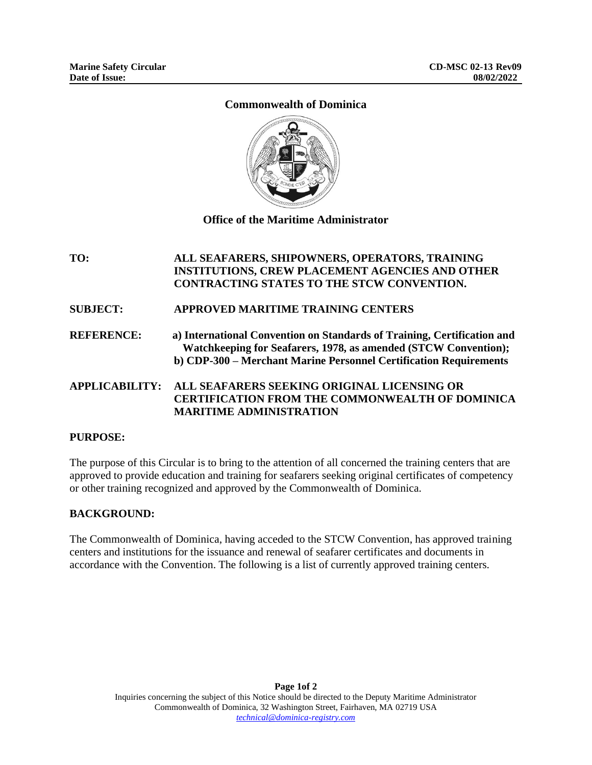# **Commonwealth of Dominica**



**Office of the Maritime Administrator**

# **TO: ALL SEAFARERS, SHIPOWNERS, OPERATORS, TRAINING INSTITUTIONS, CREW PLACEMENT AGENCIES AND OTHER CONTRACTING STATES TO THE STCW CONVENTION.**

**SUBJECT: APPROVED MARITIME TRAINING CENTERS** 

**REFERENCE: a) International Convention on Standards of Training, Certification and Watchkeeping for Seafarers, 1978, as amended (STCW Convention); b) CDP-300 – Merchant Marine Personnel Certification Requirements** 

**APPLICABILITY: ALL SEAFARERS SEEKING ORIGINAL LICENSING OR CERTIFICATION FROM THE COMMONWEALTH OF DOMINICA MARITIME ADMINISTRATION** 

# **PURPOSE:**

The purpose of this Circular is to bring to the attention of all concerned the training centers that are approved to provide education and training for seafarers seeking original certificates of competency or other training recognized and approved by the Commonwealth of Dominica.

## **BACKGROUND:**

The Commonwealth of Dominica, having acceded to the STCW Convention, has approved training centers and institutions for the issuance and renewal of seafarer certificates and documents in accordance with the Convention. The following is a list of currently approved training centers.